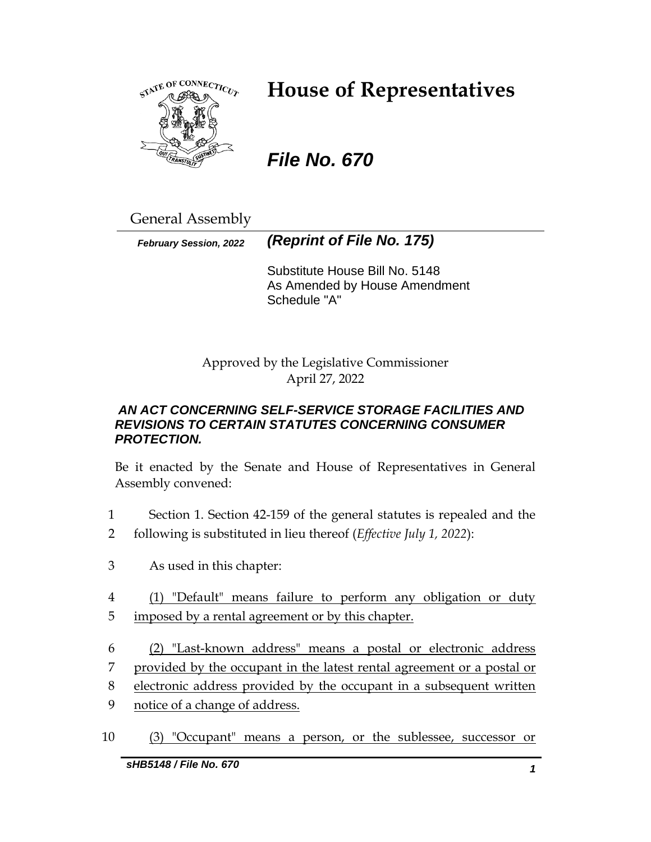

# **House of Representatives**

# *File No. 670*

General Assembly

*February Session, 2022 (Reprint of File No. 175)*

Substitute House Bill No. 5148 As Amended by House Amendment Schedule "A"

Approved by the Legislative Commissioner April 27, 2022

## *AN ACT CONCERNING SELF-SERVICE STORAGE FACILITIES AND REVISIONS TO CERTAIN STATUTES CONCERNING CONSUMER PROTECTION.*

Be it enacted by the Senate and House of Representatives in General Assembly convened:

- 1 Section 1. Section 42-159 of the general statutes is repealed and the
- 2 following is substituted in lieu thereof (*Effective July 1, 2022*):
- 3 As used in this chapter:
- 4 (1) "Default" means failure to perform any obligation or duty
- 5 imposed by a rental agreement or by this chapter.
- 6 (2) "Last-known address" means a postal or electronic address
- 7 provided by the occupant in the latest rental agreement or a postal or
- 8 electronic address provided by the occupant in a subsequent written
- 9 notice of a change of address.
- 10 (3) "Occupant" means a person, or the sublessee, successor or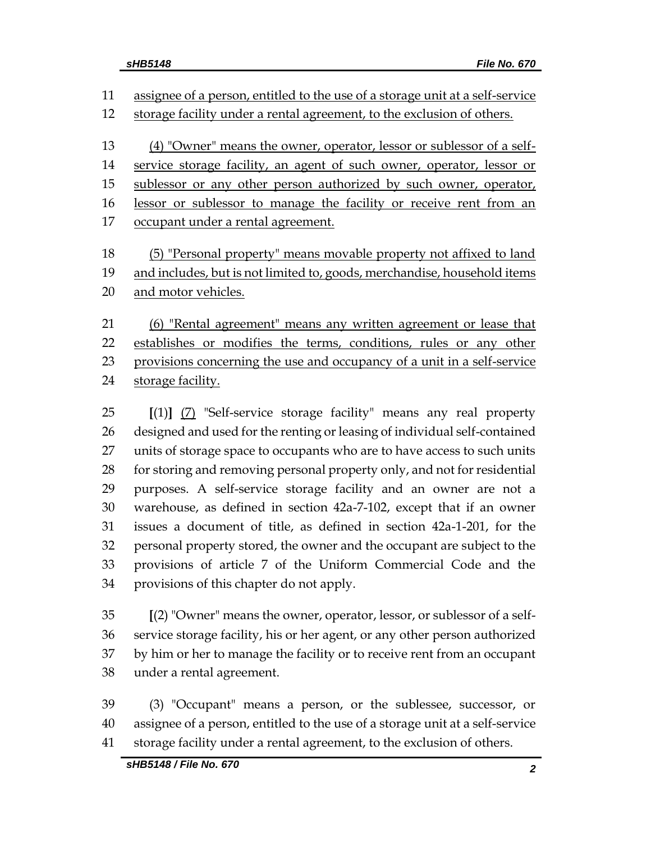assignee of a person, entitled to the use of a storage unit at a self-service 12 storage facility under a rental agreement, to the exclusion of others. (4) "Owner" means the owner, operator, lessor or sublessor of a self-14 service storage facility, an agent of such owner, operator, lessor or 15 sublessor or any other person authorized by such owner, operator, 16 lessor or sublessor to manage the facility or receive rent from an occupant under a rental agreement. (5) "Personal property" means movable property not affixed to land 19 and includes, but is not limited to, goods, merchandise, household items and motor vehicles.

 (6) "Rental agreement" means any written agreement or lease that 22 establishes or modifies the terms, conditions, rules or any other 23 provisions concerning the use and occupancy of a unit in a self-service 24 storage facility.

 **[**(1)**]** (7) "Self-service storage facility" means any real property designed and used for the renting or leasing of individual self-contained units of storage space to occupants who are to have access to such units for storing and removing personal property only, and not for residential purposes. A self-service storage facility and an owner are not a warehouse, as defined in section 42a-7-102, except that if an owner issues a document of title, as defined in section 42a-1-201, for the personal property stored, the owner and the occupant are subject to the provisions of article 7 of the Uniform Commercial Code and the provisions of this chapter do not apply.

 **[**(2) "Owner" means the owner, operator, lessor, or sublessor of a self- service storage facility, his or her agent, or any other person authorized by him or her to manage the facility or to receive rent from an occupant under a rental agreement.

 (3) "Occupant" means a person, or the sublessee, successor, or assignee of a person, entitled to the use of a storage unit at a self-service storage facility under a rental agreement, to the exclusion of others.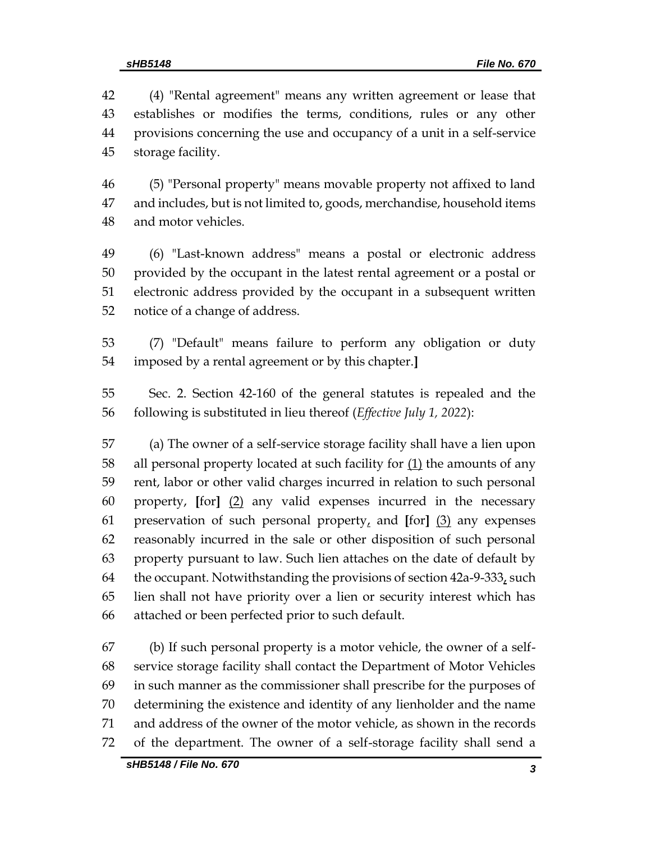(4) "Rental agreement" means any written agreement or lease that establishes or modifies the terms, conditions, rules or any other provisions concerning the use and occupancy of a unit in a self-service storage facility.

 (5) "Personal property" means movable property not affixed to land and includes, but is not limited to, goods, merchandise, household items and motor vehicles.

 (6) "Last-known address" means a postal or electronic address provided by the occupant in the latest rental agreement or a postal or electronic address provided by the occupant in a subsequent written notice of a change of address.

 (7) "Default" means failure to perform any obligation or duty imposed by a rental agreement or by this chapter.**]**

 Sec. 2. Section 42-160 of the general statutes is repealed and the following is substituted in lieu thereof (*Effective July 1, 2022*):

 (a) The owner of a self-service storage facility shall have a lien upon 58 all personal property located at such facility for  $(1)$  the amounts of any rent, labor or other valid charges incurred in relation to such personal property, **[**for**]** (2) any valid expenses incurred in the necessary preservation of such personal property, and **[**for**]** (3) any expenses reasonably incurred in the sale or other disposition of such personal property pursuant to law. Such lien attaches on the date of default by 64 the occupant. Notwithstanding the provisions of section  $42a-9-333<sub>L</sub>$  such lien shall not have priority over a lien or security interest which has attached or been perfected prior to such default.

 (b) If such personal property is a motor vehicle, the owner of a self- service storage facility shall contact the Department of Motor Vehicles in such manner as the commissioner shall prescribe for the purposes of determining the existence and identity of any lienholder and the name and address of the owner of the motor vehicle, as shown in the records of the department. The owner of a self-storage facility shall send a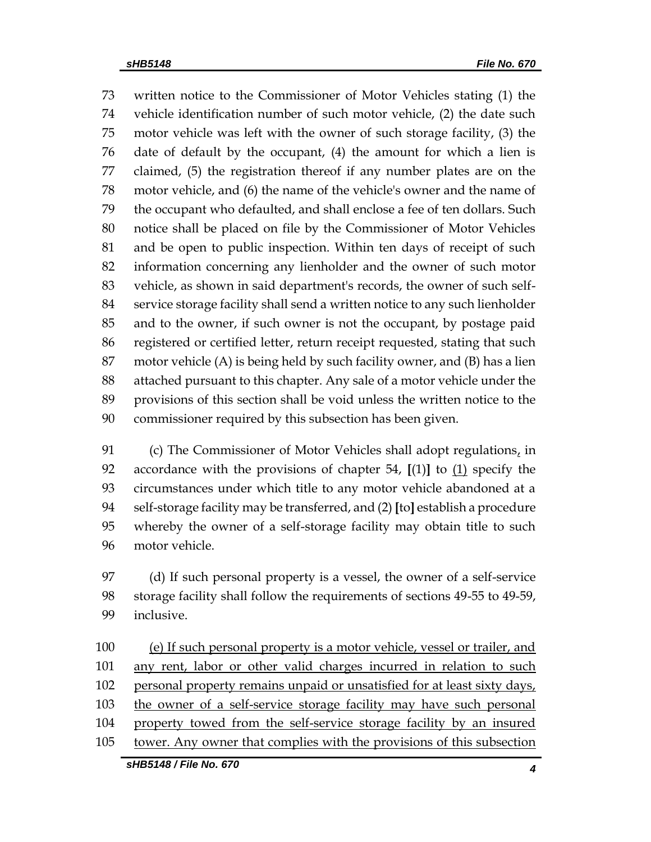written notice to the Commissioner of Motor Vehicles stating (1) the vehicle identification number of such motor vehicle, (2) the date such motor vehicle was left with the owner of such storage facility, (3) the date of default by the occupant, (4) the amount for which a lien is claimed, (5) the registration thereof if any number plates are on the motor vehicle, and (6) the name of the vehicle's owner and the name of the occupant who defaulted, and shall enclose a fee of ten dollars. Such notice shall be placed on file by the Commissioner of Motor Vehicles and be open to public inspection. Within ten days of receipt of such information concerning any lienholder and the owner of such motor vehicle, as shown in said department's records, the owner of such self- service storage facility shall send a written notice to any such lienholder and to the owner, if such owner is not the occupant, by postage paid registered or certified letter, return receipt requested, stating that such motor vehicle (A) is being held by such facility owner, and (B) has a lien attached pursuant to this chapter. Any sale of a motor vehicle under the provisions of this section shall be void unless the written notice to the commissioner required by this subsection has been given.

 (c) The Commissioner of Motor Vehicles shall adopt regulations, in accordance with the provisions of chapter 54, **[**(1)**]** to (1) specify the circumstances under which title to any motor vehicle abandoned at a self-storage facility may be transferred, and (2) **[**to**]** establish a procedure whereby the owner of a self-storage facility may obtain title to such motor vehicle.

 (d) If such personal property is a vessel, the owner of a self-service storage facility shall follow the requirements of sections 49-55 to 49-59, inclusive.

100 (e) If such personal property is a motor vehicle, vessel or trailer, and any rent, labor or other valid charges incurred in relation to such 102 personal property remains unpaid or unsatisfied for at least sixty days, the owner of a self-service storage facility may have such personal property towed from the self-service storage facility by an insured tower. Any owner that complies with the provisions of this subsection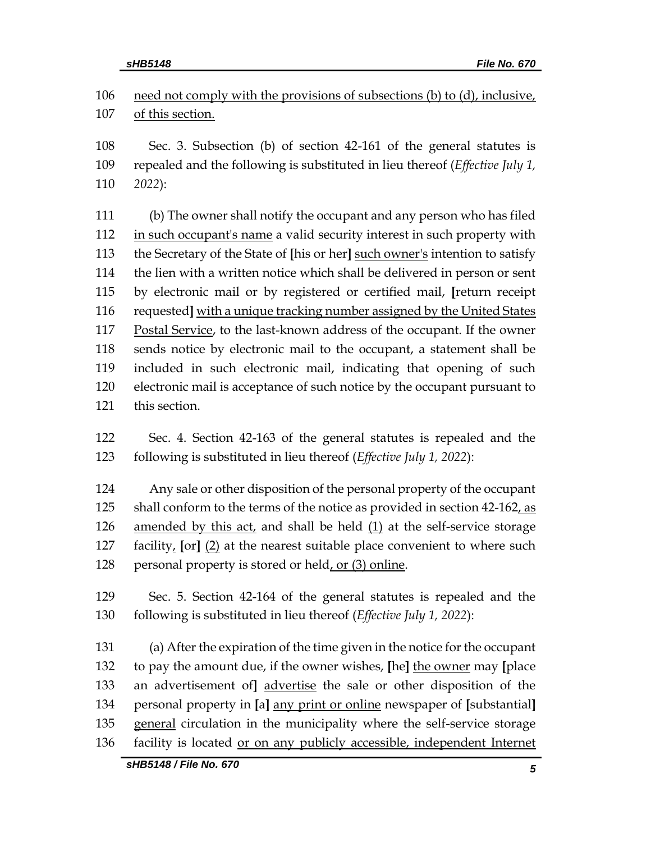106 need not comply with the provisions of subsections (b) to (d), inclusive, of this section.

 Sec. 3. Subsection (b) of section 42-161 of the general statutes is repealed and the following is substituted in lieu thereof (*Effective July 1, 2022*):

 (b) The owner shall notify the occupant and any person who has filed in such occupant's name a valid security interest in such property with the Secretary of the State of **[**his or her**]** such owner's intention to satisfy the lien with a written notice which shall be delivered in person or sent by electronic mail or by registered or certified mail, **[**return receipt requested**]** with a unique tracking number assigned by the United States Postal Service, to the last-known address of the occupant. If the owner sends notice by electronic mail to the occupant, a statement shall be included in such electronic mail, indicating that opening of such electronic mail is acceptance of such notice by the occupant pursuant to this section.

 Sec. 4. Section 42-163 of the general statutes is repealed and the following is substituted in lieu thereof (*Effective July 1, 2022*):

 Any sale or other disposition of the personal property of the occupant 125 shall conform to the terms of the notice as provided in section 42-162, as amended by this act, and shall be held (1) at the self-service storage facility, **[**or**]** (2) at the nearest suitable place convenient to where such 128 personal property is stored or held, or (3) online.

 Sec. 5. Section 42-164 of the general statutes is repealed and the following is substituted in lieu thereof (*Effective July 1, 2022*):

 (a) After the expiration of the time given in the notice for the occupant to pay the amount due, if the owner wishes, **[**he**]** the owner may **[**place an advertisement of**]** advertise the sale or other disposition of the personal property in **[**a**]** any print or online newspaper of **[**substantial**]** general circulation in the municipality where the self-service storage facility is located or on any publicly accessible, independent Internet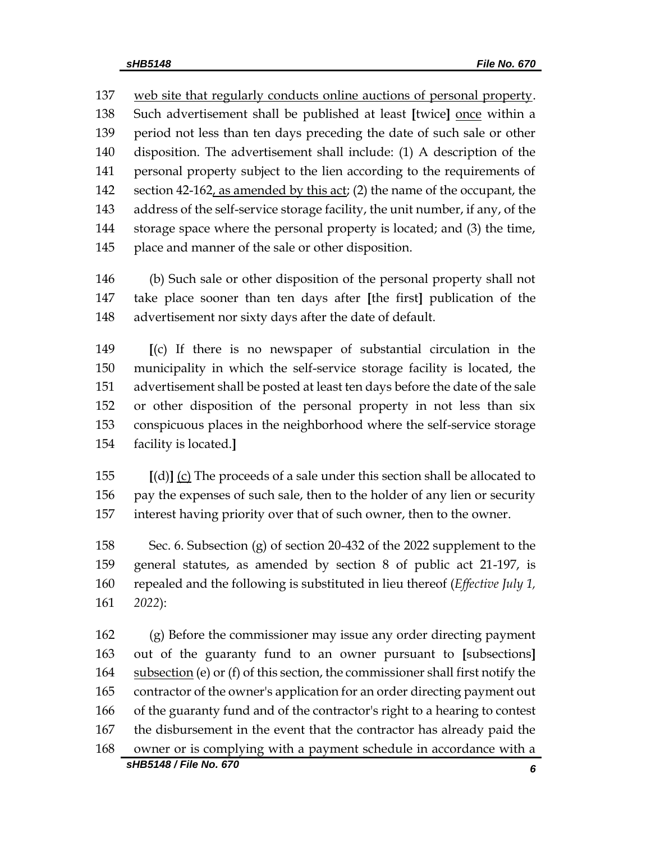137 web site that regularly conducts online auctions of personal property. Such advertisement shall be published at least **[**twice**]** once within a period not less than ten days preceding the date of such sale or other disposition. The advertisement shall include: (1) A description of the personal property subject to the lien according to the requirements of 142 section 42-162, as amended by this act; (2) the name of the occupant, the address of the self-service storage facility, the unit number, if any, of the storage space where the personal property is located; and (3) the time, place and manner of the sale or other disposition.

 (b) Such sale or other disposition of the personal property shall not take place sooner than ten days after **[**the first**]** publication of the advertisement nor sixty days after the date of default.

 **[**(c) If there is no newspaper of substantial circulation in the municipality in which the self-service storage facility is located, the advertisement shall be posted at least ten days before the date of the sale or other disposition of the personal property in not less than six conspicuous places in the neighborhood where the self-service storage facility is located.**]**

 **[**(d)**]** (c) The proceeds of a sale under this section shall be allocated to 156 pay the expenses of such sale, then to the holder of any lien or security interest having priority over that of such owner, then to the owner.

 Sec. 6. Subsection (g) of section 20-432 of the 2022 supplement to the general statutes, as amended by section 8 of public act 21-197, is repealed and the following is substituted in lieu thereof (*Effective July 1, 2022*):

*sHB5148 / File No. 670 6* (g) Before the commissioner may issue any order directing payment out of the guaranty fund to an owner pursuant to **[**subsections**]** subsection (e) or (f) of this section, the commissioner shall first notify the contractor of the owner's application for an order directing payment out of the guaranty fund and of the contractor's right to a hearing to contest the disbursement in the event that the contractor has already paid the owner or is complying with a payment schedule in accordance with a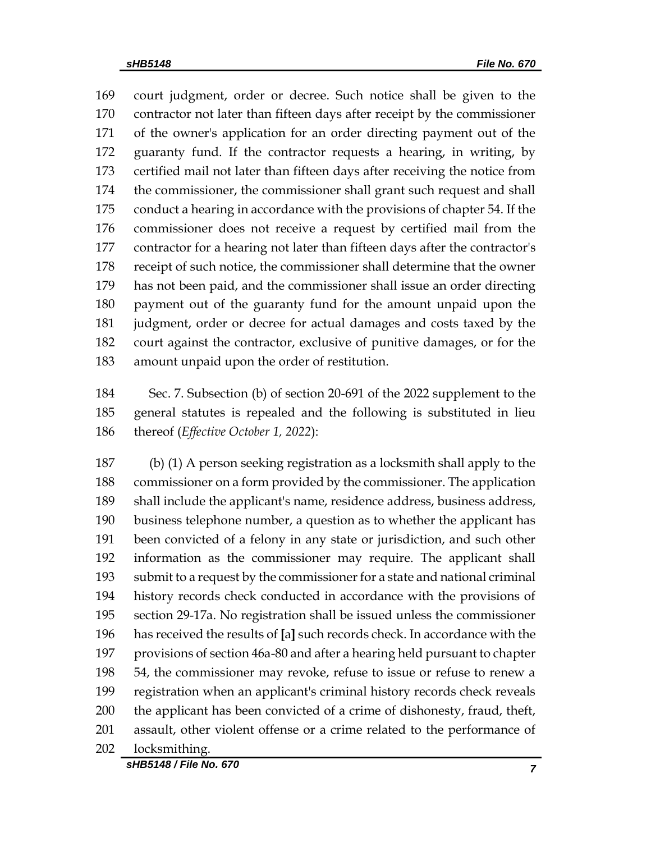court judgment, order or decree. Such notice shall be given to the contractor not later than fifteen days after receipt by the commissioner of the owner's application for an order directing payment out of the guaranty fund. If the contractor requests a hearing, in writing, by certified mail not later than fifteen days after receiving the notice from the commissioner, the commissioner shall grant such request and shall conduct a hearing in accordance with the provisions of chapter 54. If the commissioner does not receive a request by certified mail from the contractor for a hearing not later than fifteen days after the contractor's receipt of such notice, the commissioner shall determine that the owner has not been paid, and the commissioner shall issue an order directing payment out of the guaranty fund for the amount unpaid upon the judgment, order or decree for actual damages and costs taxed by the court against the contractor, exclusive of punitive damages, or for the amount unpaid upon the order of restitution.

 Sec. 7. Subsection (b) of section 20-691 of the 2022 supplement to the general statutes is repealed and the following is substituted in lieu thereof (*Effective October 1, 2022*):

 (b) (1) A person seeking registration as a locksmith shall apply to the commissioner on a form provided by the commissioner. The application shall include the applicant's name, residence address, business address, business telephone number, a question as to whether the applicant has been convicted of a felony in any state or jurisdiction, and such other information as the commissioner may require. The applicant shall submit to a request by the commissioner for a state and national criminal history records check conducted in accordance with the provisions of section 29-17a. No registration shall be issued unless the commissioner has received the results of **[**a**]** such records check. In accordance with the provisions of section 46a-80 and after a hearing held pursuant to chapter 54, the commissioner may revoke, refuse to issue or refuse to renew a registration when an applicant's criminal history records check reveals the applicant has been convicted of a crime of dishonesty, fraud, theft, assault, other violent offense or a crime related to the performance of locksmithing.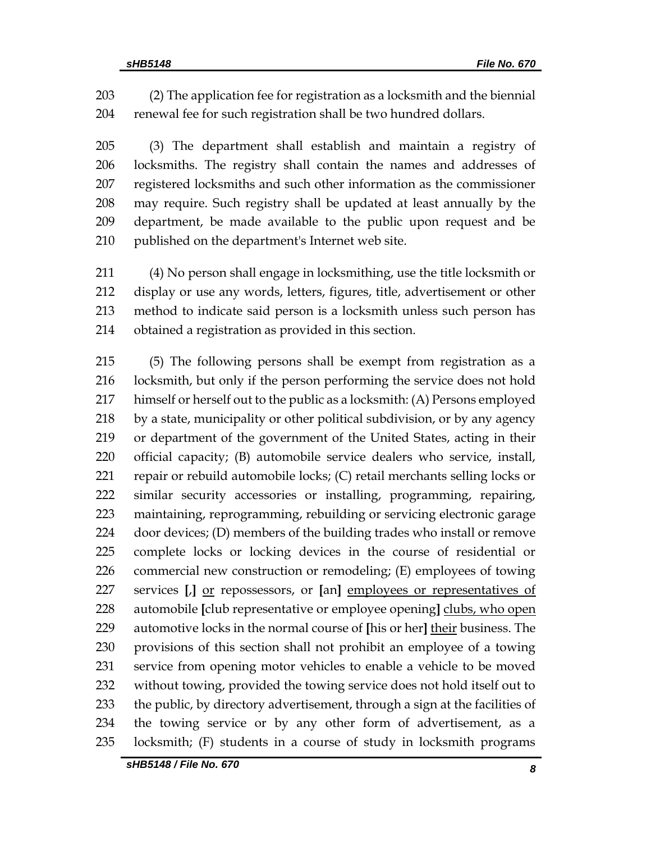(2) The application fee for registration as a locksmith and the biennial renewal fee for such registration shall be two hundred dollars.

 (3) The department shall establish and maintain a registry of locksmiths. The registry shall contain the names and addresses of registered locksmiths and such other information as the commissioner may require. Such registry shall be updated at least annually by the department, be made available to the public upon request and be published on the department's Internet web site.

 (4) No person shall engage in locksmithing, use the title locksmith or display or use any words, letters, figures, title, advertisement or other method to indicate said person is a locksmith unless such person has obtained a registration as provided in this section.

 (5) The following persons shall be exempt from registration as a locksmith, but only if the person performing the service does not hold himself or herself out to the public as a locksmith: (A) Persons employed by a state, municipality or other political subdivision, or by any agency or department of the government of the United States, acting in their official capacity; (B) automobile service dealers who service, install, repair or rebuild automobile locks; (C) retail merchants selling locks or similar security accessories or installing, programming, repairing, maintaining, reprogramming, rebuilding or servicing electronic garage door devices; (D) members of the building trades who install or remove complete locks or locking devices in the course of residential or commercial new construction or remodeling; (E) employees of towing services **[**,**]** or repossessors, or **[**an**]** employees or representatives of automobile **[**club representative or employee opening**]** clubs, who open automotive locks in the normal course of **[**his or her**]** their business. The provisions of this section shall not prohibit an employee of a towing service from opening motor vehicles to enable a vehicle to be moved without towing, provided the towing service does not hold itself out to 233 the public, by directory advertisement, through a sign at the facilities of the towing service or by any other form of advertisement, as a locksmith; (F) students in a course of study in locksmith programs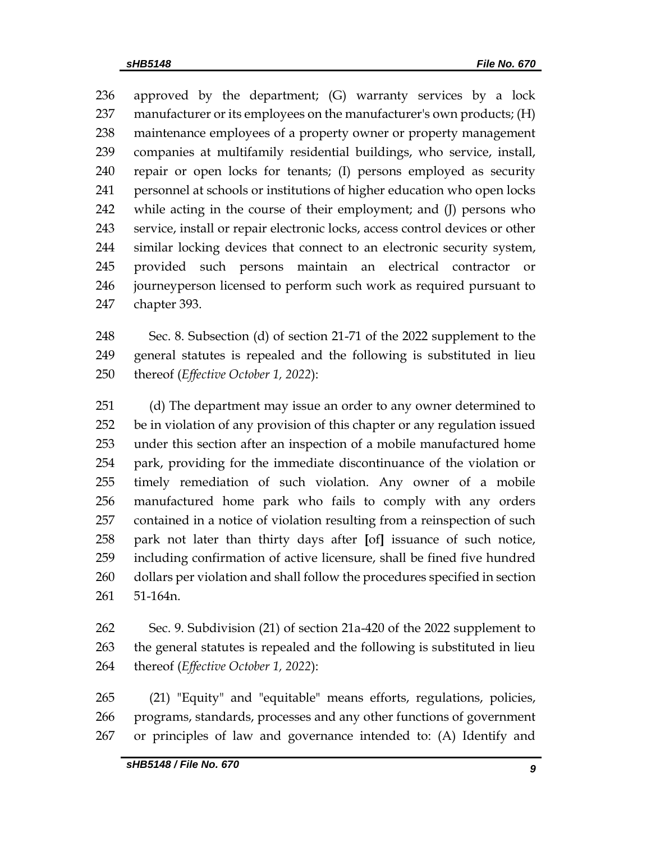approved by the department; (G) warranty services by a lock manufacturer or its employees on the manufacturer's own products; (H) maintenance employees of a property owner or property management companies at multifamily residential buildings, who service, install, repair or open locks for tenants; (I) persons employed as security personnel at schools or institutions of higher education who open locks while acting in the course of their employment; and (J) persons who service, install or repair electronic locks, access control devices or other similar locking devices that connect to an electronic security system, provided such persons maintain an electrical contractor or journeyperson licensed to perform such work as required pursuant to chapter 393.

 Sec. 8. Subsection (d) of section 21-71 of the 2022 supplement to the general statutes is repealed and the following is substituted in lieu thereof (*Effective October 1, 2022*):

 (d) The department may issue an order to any owner determined to be in violation of any provision of this chapter or any regulation issued under this section after an inspection of a mobile manufactured home park, providing for the immediate discontinuance of the violation or timely remediation of such violation. Any owner of a mobile manufactured home park who fails to comply with any orders contained in a notice of violation resulting from a reinspection of such park not later than thirty days after **[**of**]** issuance of such notice, including confirmation of active licensure, shall be fined five hundred dollars per violation and shall follow the procedures specified in section 51-164n.

 Sec. 9. Subdivision (21) of section 21a-420 of the 2022 supplement to the general statutes is repealed and the following is substituted in lieu thereof (*Effective October 1, 2022*):

 (21) "Equity" and "equitable" means efforts, regulations, policies, programs, standards, processes and any other functions of government or principles of law and governance intended to: (A) Identify and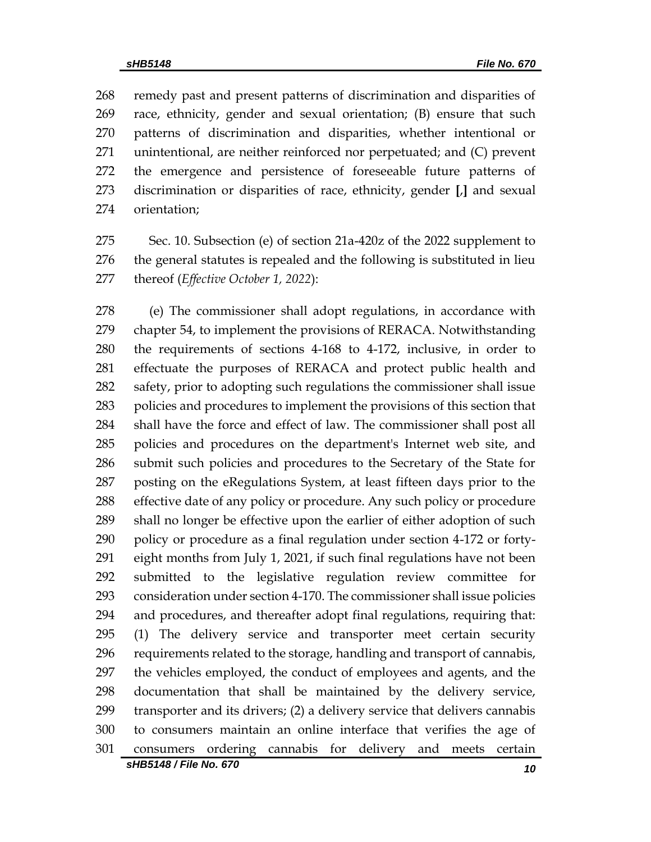remedy past and present patterns of discrimination and disparities of race, ethnicity, gender and sexual orientation; (B) ensure that such patterns of discrimination and disparities, whether intentional or unintentional, are neither reinforced nor perpetuated; and (C) prevent the emergence and persistence of foreseeable future patterns of discrimination or disparities of race, ethnicity, gender **[**,**]** and sexual orientation;

 Sec. 10. Subsection (e) of section 21a-420z of the 2022 supplement to the general statutes is repealed and the following is substituted in lieu thereof (*Effective October 1, 2022*):

 (e) The commissioner shall adopt regulations, in accordance with chapter 54, to implement the provisions of RERACA. Notwithstanding the requirements of sections 4-168 to 4-172, inclusive, in order to effectuate the purposes of RERACA and protect public health and safety, prior to adopting such regulations the commissioner shall issue policies and procedures to implement the provisions of this section that shall have the force and effect of law. The commissioner shall post all policies and procedures on the department's Internet web site, and submit such policies and procedures to the Secretary of the State for posting on the eRegulations System, at least fifteen days prior to the effective date of any policy or procedure. Any such policy or procedure shall no longer be effective upon the earlier of either adoption of such policy or procedure as a final regulation under section 4-172 or forty- eight months from July 1, 2021, if such final regulations have not been submitted to the legislative regulation review committee for consideration under section 4-170. The commissioner shall issue policies and procedures, and thereafter adopt final regulations, requiring that: (1) The delivery service and transporter meet certain security requirements related to the storage, handling and transport of cannabis, the vehicles employed, the conduct of employees and agents, and the documentation that shall be maintained by the delivery service, transporter and its drivers; (2) a delivery service that delivers cannabis to consumers maintain an online interface that verifies the age of consumers ordering cannabis for delivery and meets certain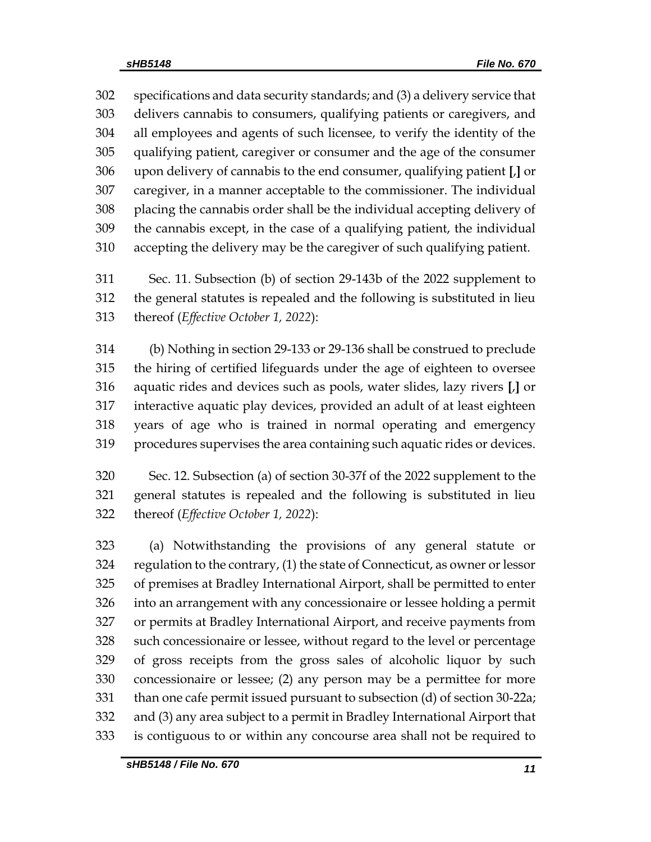specifications and data security standards; and (3) a delivery service that delivers cannabis to consumers, qualifying patients or caregivers, and all employees and agents of such licensee, to verify the identity of the qualifying patient, caregiver or consumer and the age of the consumer upon delivery of cannabis to the end consumer, qualifying patient **[**,**]** or caregiver, in a manner acceptable to the commissioner. The individual placing the cannabis order shall be the individual accepting delivery of the cannabis except, in the case of a qualifying patient, the individual accepting the delivery may be the caregiver of such qualifying patient.

 Sec. 11. Subsection (b) of section 29-143b of the 2022 supplement to the general statutes is repealed and the following is substituted in lieu thereof (*Effective October 1, 2022*):

 (b) Nothing in section 29-133 or 29-136 shall be construed to preclude the hiring of certified lifeguards under the age of eighteen to oversee aquatic rides and devices such as pools, water slides, lazy rivers **[**,**]** or interactive aquatic play devices, provided an adult of at least eighteen years of age who is trained in normal operating and emergency procedures supervises the area containing such aquatic rides or devices.

 Sec. 12. Subsection (a) of section 30-37f of the 2022 supplement to the general statutes is repealed and the following is substituted in lieu thereof (*Effective October 1, 2022*):

 (a) Notwithstanding the provisions of any general statute or regulation to the contrary, (1) the state of Connecticut, as owner or lessor of premises at Bradley International Airport, shall be permitted to enter into an arrangement with any concessionaire or lessee holding a permit or permits at Bradley International Airport, and receive payments from such concessionaire or lessee, without regard to the level or percentage of gross receipts from the gross sales of alcoholic liquor by such concessionaire or lessee; (2) any person may be a permittee for more than one cafe permit issued pursuant to subsection (d) of section 30-22a; and (3) any area subject to a permit in Bradley International Airport that is contiguous to or within any concourse area shall not be required to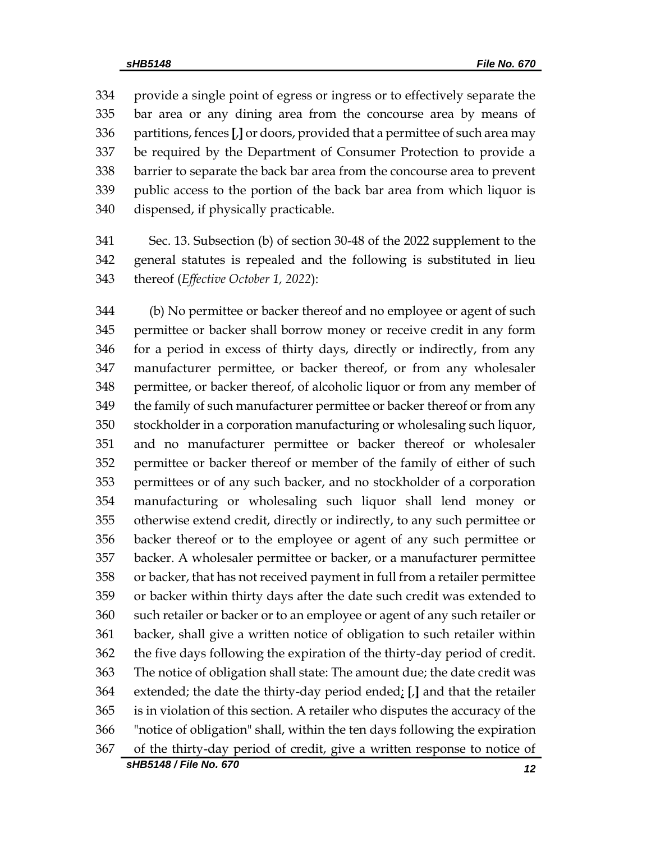provide a single point of egress or ingress or to effectively separate the bar area or any dining area from the concourse area by means of partitions, fences **[**,**]** or doors, provided that a permittee of such area may be required by the Department of Consumer Protection to provide a barrier to separate the back bar area from the concourse area to prevent public access to the portion of the back bar area from which liquor is dispensed, if physically practicable.

 Sec. 13. Subsection (b) of section 30-48 of the 2022 supplement to the general statutes is repealed and the following is substituted in lieu thereof (*Effective October 1, 2022*):

*sHB5148 / File No. 670 12* (b) No permittee or backer thereof and no employee or agent of such permittee or backer shall borrow money or receive credit in any form for a period in excess of thirty days, directly or indirectly, from any manufacturer permittee, or backer thereof, or from any wholesaler permittee, or backer thereof, of alcoholic liquor or from any member of the family of such manufacturer permittee or backer thereof or from any stockholder in a corporation manufacturing or wholesaling such liquor, and no manufacturer permittee or backer thereof or wholesaler permittee or backer thereof or member of the family of either of such permittees or of any such backer, and no stockholder of a corporation manufacturing or wholesaling such liquor shall lend money or otherwise extend credit, directly or indirectly, to any such permittee or backer thereof or to the employee or agent of any such permittee or backer. A wholesaler permittee or backer, or a manufacturer permittee or backer, that has not received payment in full from a retailer permittee or backer within thirty days after the date such credit was extended to such retailer or backer or to an employee or agent of any such retailer or backer, shall give a written notice of obligation to such retailer within the five days following the expiration of the thirty-day period of credit. The notice of obligation shall state: The amount due; the date credit was extended; the date the thirty-day period ended; **[**,**]** and that the retailer is in violation of this section. A retailer who disputes the accuracy of the "notice of obligation" shall, within the ten days following the expiration of the thirty-day period of credit, give a written response to notice of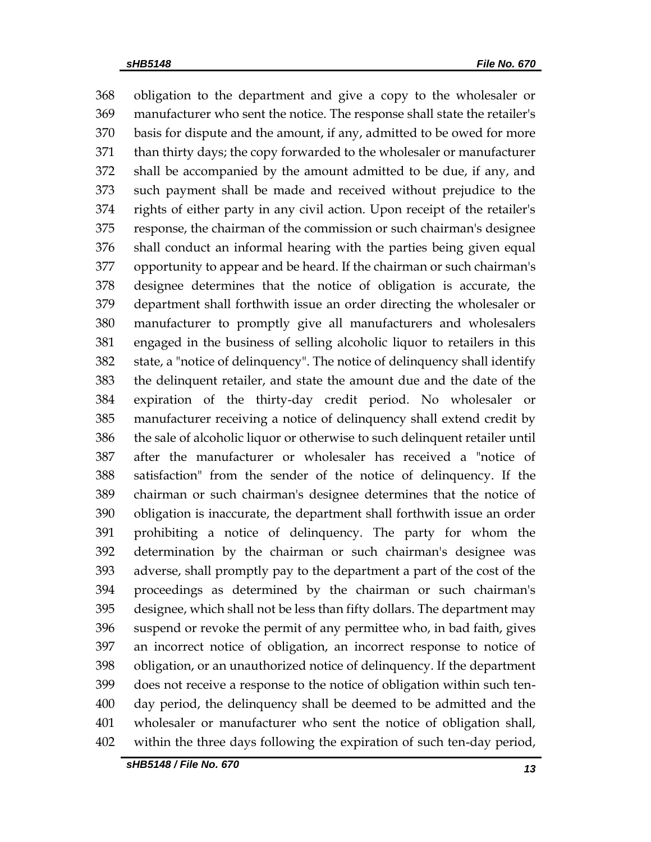obligation to the department and give a copy to the wholesaler or manufacturer who sent the notice. The response shall state the retailer's basis for dispute and the amount, if any, admitted to be owed for more than thirty days; the copy forwarded to the wholesaler or manufacturer shall be accompanied by the amount admitted to be due, if any, and such payment shall be made and received without prejudice to the rights of either party in any civil action. Upon receipt of the retailer's response, the chairman of the commission or such chairman's designee shall conduct an informal hearing with the parties being given equal opportunity to appear and be heard. If the chairman or such chairman's designee determines that the notice of obligation is accurate, the department shall forthwith issue an order directing the wholesaler or manufacturer to promptly give all manufacturers and wholesalers engaged in the business of selling alcoholic liquor to retailers in this state, a "notice of delinquency". The notice of delinquency shall identify the delinquent retailer, and state the amount due and the date of the expiration of the thirty-day credit period. No wholesaler or manufacturer receiving a notice of delinquency shall extend credit by the sale of alcoholic liquor or otherwise to such delinquent retailer until after the manufacturer or wholesaler has received a "notice of satisfaction" from the sender of the notice of delinquency. If the chairman or such chairman's designee determines that the notice of obligation is inaccurate, the department shall forthwith issue an order prohibiting a notice of delinquency. The party for whom the determination by the chairman or such chairman's designee was adverse, shall promptly pay to the department a part of the cost of the proceedings as determined by the chairman or such chairman's designee, which shall not be less than fifty dollars. The department may suspend or revoke the permit of any permittee who, in bad faith, gives an incorrect notice of obligation, an incorrect response to notice of obligation, or an unauthorized notice of delinquency. If the department does not receive a response to the notice of obligation within such ten- day period, the delinquency shall be deemed to be admitted and the wholesaler or manufacturer who sent the notice of obligation shall, within the three days following the expiration of such ten-day period,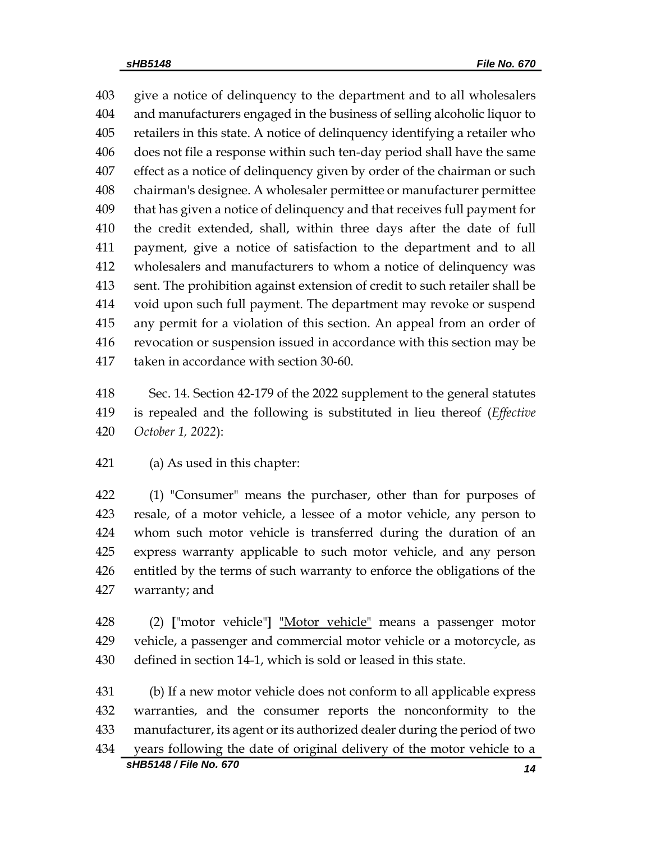give a notice of delinquency to the department and to all wholesalers and manufacturers engaged in the business of selling alcoholic liquor to retailers in this state. A notice of delinquency identifying a retailer who does not file a response within such ten-day period shall have the same effect as a notice of delinquency given by order of the chairman or such chairman's designee. A wholesaler permittee or manufacturer permittee that has given a notice of delinquency and that receives full payment for the credit extended, shall, within three days after the date of full payment, give a notice of satisfaction to the department and to all wholesalers and manufacturers to whom a notice of delinquency was sent. The prohibition against extension of credit to such retailer shall be void upon such full payment. The department may revoke or suspend any permit for a violation of this section. An appeal from an order of revocation or suspension issued in accordance with this section may be taken in accordance with section 30-60.

 Sec. 14. Section 42-179 of the 2022 supplement to the general statutes is repealed and the following is substituted in lieu thereof (*Effective October 1, 2022*):

 (1) "Consumer" means the purchaser, other than for purposes of resale, of a motor vehicle, a lessee of a motor vehicle, any person to whom such motor vehicle is transferred during the duration of an express warranty applicable to such motor vehicle, and any person entitled by the terms of such warranty to enforce the obligations of the warranty; and

 (2) **[**"motor vehicle"**]** "Motor vehicle" means a passenger motor vehicle, a passenger and commercial motor vehicle or a motorcycle, as defined in section 14-1, which is sold or leased in this state.

*sHB5148 / File No. 670 14* (b) If a new motor vehicle does not conform to all applicable express warranties, and the consumer reports the nonconformity to the manufacturer, its agent or its authorized dealer during the period of two years following the date of original delivery of the motor vehicle to a

(a) As used in this chapter: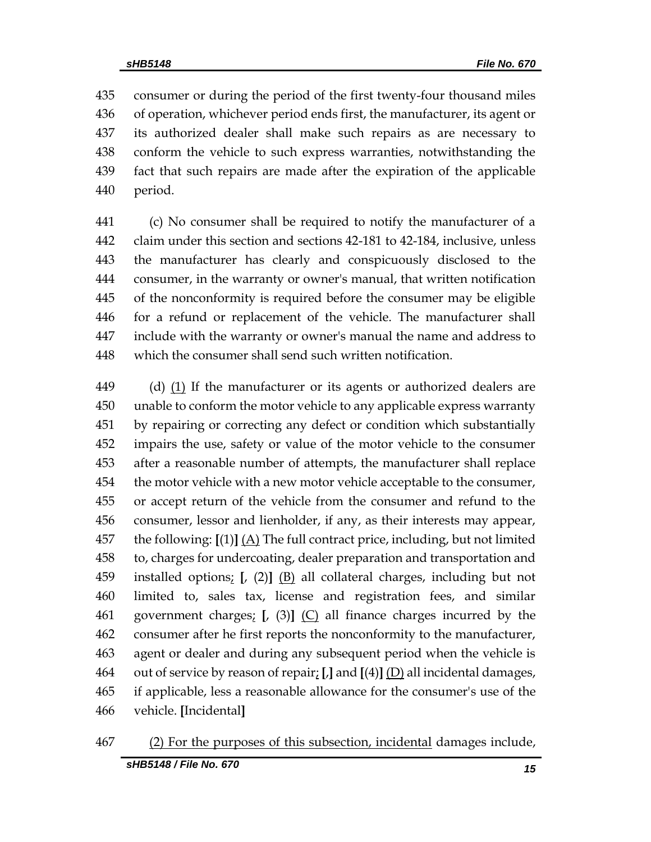consumer or during the period of the first twenty-four thousand miles of operation, whichever period ends first, the manufacturer, its agent or its authorized dealer shall make such repairs as are necessary to conform the vehicle to such express warranties, notwithstanding the fact that such repairs are made after the expiration of the applicable period.

 (c) No consumer shall be required to notify the manufacturer of a claim under this section and sections 42-181 to 42-184, inclusive, unless the manufacturer has clearly and conspicuously disclosed to the consumer, in the warranty or owner's manual, that written notification of the nonconformity is required before the consumer may be eligible for a refund or replacement of the vehicle. The manufacturer shall include with the warranty or owner's manual the name and address to which the consumer shall send such written notification.

449 (d) (1) If the manufacturer or its agents or authorized dealers are unable to conform the motor vehicle to any applicable express warranty by repairing or correcting any defect or condition which substantially impairs the use, safety or value of the motor vehicle to the consumer after a reasonable number of attempts, the manufacturer shall replace the motor vehicle with a new motor vehicle acceptable to the consumer, or accept return of the vehicle from the consumer and refund to the consumer, lessor and lienholder, if any, as their interests may appear, the following: **[**(1)**]** (A) The full contract price, including, but not limited to, charges for undercoating, dealer preparation and transportation and installed options; **[**, (2)**]** (B) all collateral charges, including but not limited to, sales tax, license and registration fees, and similar government charges; **[**, (3)**]** (C) all finance charges incurred by the consumer after he first reports the nonconformity to the manufacturer, agent or dealer and during any subsequent period when the vehicle is out of service by reason of repair; **[**,**]** and **[**(4)**]** (D) all incidental damages, if applicable, less a reasonable allowance for the consumer's use of the vehicle. **[**Incidental**]**

#### (2) For the purposes of this subsection, incidental damages include,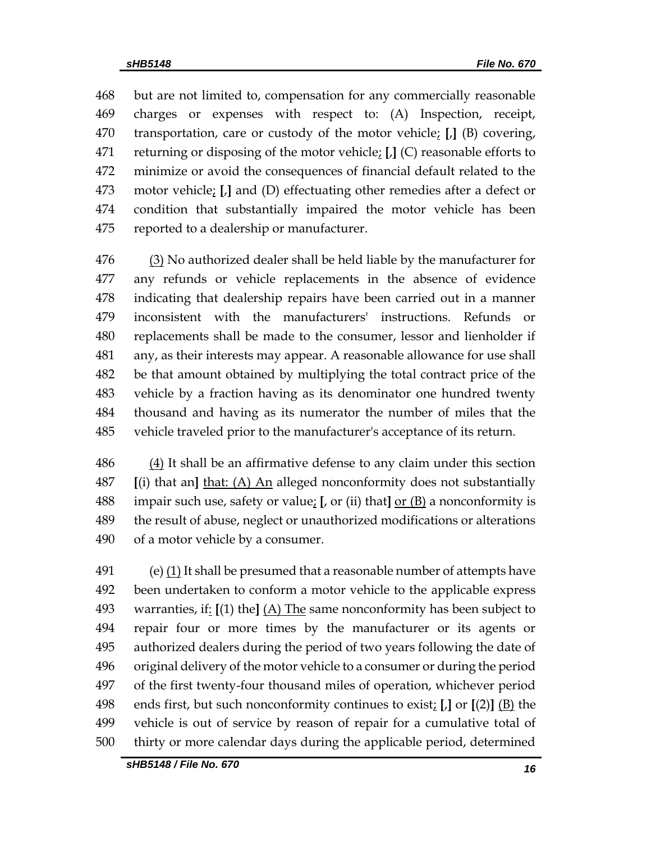but are not limited to, compensation for any commercially reasonable charges or expenses with respect to: (A) Inspection, receipt, transportation, care or custody of the motor vehicle; **[**,**]** (B) covering, returning or disposing of the motor vehicle; **[**,**]** (C) reasonable efforts to minimize or avoid the consequences of financial default related to the motor vehicle; **[**,**]** and (D) effectuating other remedies after a defect or condition that substantially impaired the motor vehicle has been reported to a dealership or manufacturer.

476 (3) No authorized dealer shall be held liable by the manufacturer for any refunds or vehicle replacements in the absence of evidence indicating that dealership repairs have been carried out in a manner inconsistent with the manufacturers' instructions. Refunds or replacements shall be made to the consumer, lessor and lienholder if any, as their interests may appear. A reasonable allowance for use shall be that amount obtained by multiplying the total contract price of the vehicle by a fraction having as its denominator one hundred twenty thousand and having as its numerator the number of miles that the vehicle traveled prior to the manufacturer's acceptance of its return.

 (4) It shall be an affirmative defense to any claim under this section **[**(i) that an**]** that: (A) An alleged nonconformity does not substantially impair such use, safety or value; **[**, or (ii) that**]** or (B) a nonconformity is the result of abuse, neglect or unauthorized modifications or alterations of a motor vehicle by a consumer.

491 (e)  $(1)$  It shall be presumed that a reasonable number of attempts have been undertaken to conform a motor vehicle to the applicable express warranties, if: **[**(1) the**]** (A) The same nonconformity has been subject to repair four or more times by the manufacturer or its agents or authorized dealers during the period of two years following the date of original delivery of the motor vehicle to a consumer or during the period of the first twenty-four thousand miles of operation, whichever period ends first, but such nonconformity continues to exist; **[**,**]** or **[**(2)**]** (B) the vehicle is out of service by reason of repair for a cumulative total of thirty or more calendar days during the applicable period, determined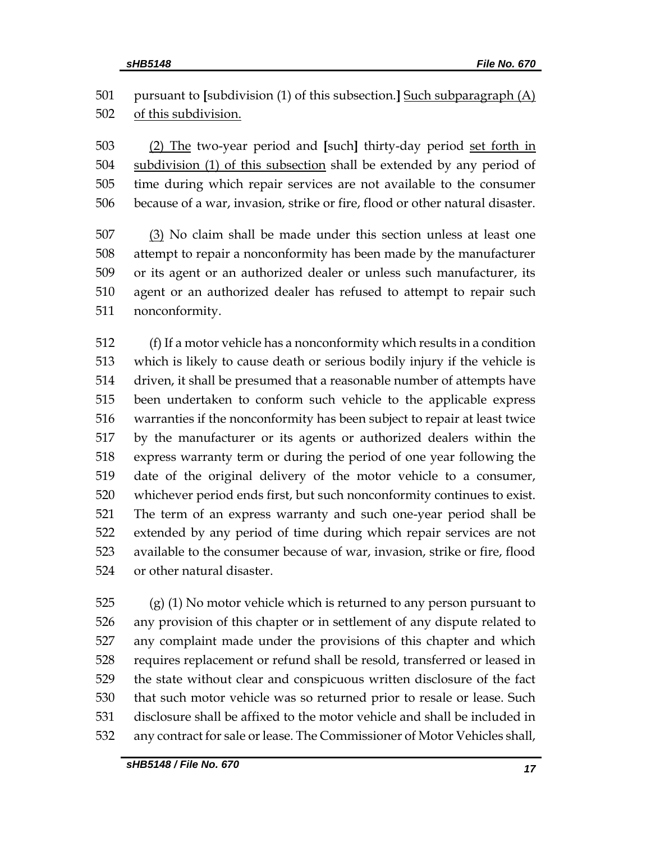# pursuant to **[**subdivision (1) of this subsection.**]** Such subparagraph (A) of this subdivision.

 (2) The two-year period and **[**such**]** thirty-day period set forth in subdivision (1) of this subsection shall be extended by any period of time during which repair services are not available to the consumer because of a war, invasion, strike or fire, flood or other natural disaster.

 (3) No claim shall be made under this section unless at least one attempt to repair a nonconformity has been made by the manufacturer or its agent or an authorized dealer or unless such manufacturer, its agent or an authorized dealer has refused to attempt to repair such nonconformity.

 (f) If a motor vehicle has a nonconformity which results in a condition which is likely to cause death or serious bodily injury if the vehicle is driven, it shall be presumed that a reasonable number of attempts have been undertaken to conform such vehicle to the applicable express warranties if the nonconformity has been subject to repair at least twice by the manufacturer or its agents or authorized dealers within the express warranty term or during the period of one year following the date of the original delivery of the motor vehicle to a consumer, whichever period ends first, but such nonconformity continues to exist. The term of an express warranty and such one-year period shall be extended by any period of time during which repair services are not available to the consumer because of war, invasion, strike or fire, flood or other natural disaster.

 (g) (1) No motor vehicle which is returned to any person pursuant to any provision of this chapter or in settlement of any dispute related to any complaint made under the provisions of this chapter and which requires replacement or refund shall be resold, transferred or leased in the state without clear and conspicuous written disclosure of the fact that such motor vehicle was so returned prior to resale or lease. Such disclosure shall be affixed to the motor vehicle and shall be included in any contract for sale or lease. The Commissioner of Motor Vehicles shall,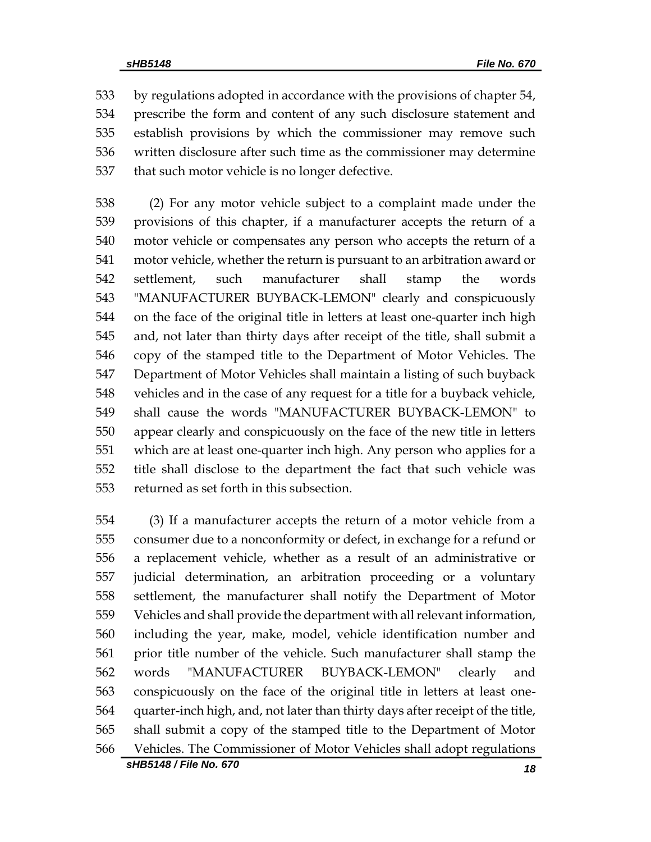by regulations adopted in accordance with the provisions of chapter 54, prescribe the form and content of any such disclosure statement and establish provisions by which the commissioner may remove such written disclosure after such time as the commissioner may determine that such motor vehicle is no longer defective.

 (2) For any motor vehicle subject to a complaint made under the provisions of this chapter, if a manufacturer accepts the return of a motor vehicle or compensates any person who accepts the return of a motor vehicle, whether the return is pursuant to an arbitration award or settlement, such manufacturer shall stamp the words "MANUFACTURER BUYBACK-LEMON" clearly and conspicuously on the face of the original title in letters at least one-quarter inch high and, not later than thirty days after receipt of the title, shall submit a copy of the stamped title to the Department of Motor Vehicles. The Department of Motor Vehicles shall maintain a listing of such buyback vehicles and in the case of any request for a title for a buyback vehicle, shall cause the words "MANUFACTURER BUYBACK-LEMON" to appear clearly and conspicuously on the face of the new title in letters which are at least one-quarter inch high. Any person who applies for a title shall disclose to the department the fact that such vehicle was returned as set forth in this subsection.

 (3) If a manufacturer accepts the return of a motor vehicle from a consumer due to a nonconformity or defect, in exchange for a refund or a replacement vehicle, whether as a result of an administrative or judicial determination, an arbitration proceeding or a voluntary settlement, the manufacturer shall notify the Department of Motor Vehicles and shall provide the department with all relevant information, including the year, make, model, vehicle identification number and prior title number of the vehicle. Such manufacturer shall stamp the words "MANUFACTURER BUYBACK-LEMON" clearly and conspicuously on the face of the original title in letters at least one- quarter-inch high, and, not later than thirty days after receipt of the title, shall submit a copy of the stamped title to the Department of Motor Vehicles. The Commissioner of Motor Vehicles shall adopt regulations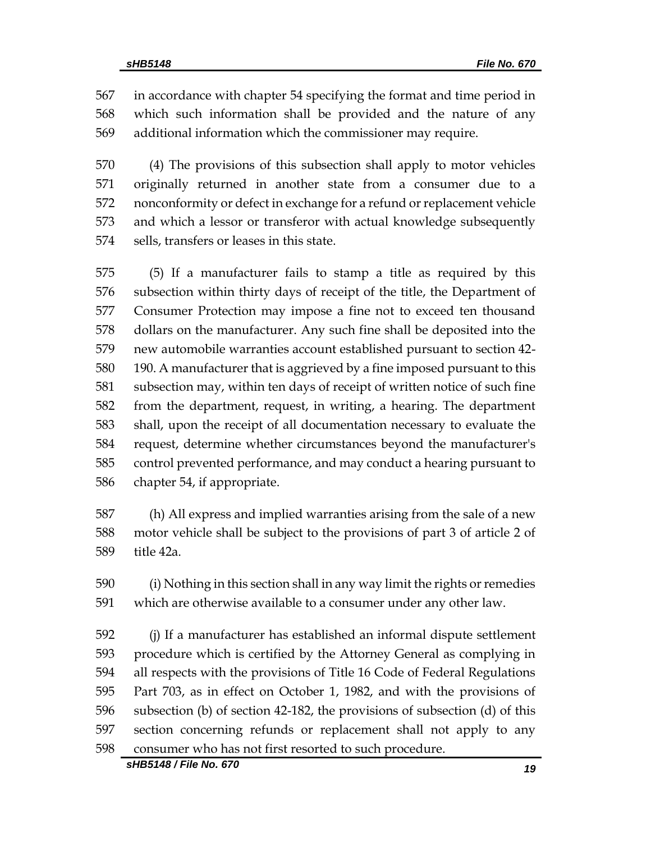in accordance with chapter 54 specifying the format and time period in which such information shall be provided and the nature of any additional information which the commissioner may require.

 (4) The provisions of this subsection shall apply to motor vehicles originally returned in another state from a consumer due to a nonconformity or defect in exchange for a refund or replacement vehicle and which a lessor or transferor with actual knowledge subsequently sells, transfers or leases in this state.

 (5) If a manufacturer fails to stamp a title as required by this subsection within thirty days of receipt of the title, the Department of Consumer Protection may impose a fine not to exceed ten thousand dollars on the manufacturer. Any such fine shall be deposited into the new automobile warranties account established pursuant to section 42- 190. A manufacturer that is aggrieved by a fine imposed pursuant to this subsection may, within ten days of receipt of written notice of such fine from the department, request, in writing, a hearing. The department shall, upon the receipt of all documentation necessary to evaluate the request, determine whether circumstances beyond the manufacturer's control prevented performance, and may conduct a hearing pursuant to chapter 54, if appropriate.

 (h) All express and implied warranties arising from the sale of a new motor vehicle shall be subject to the provisions of part 3 of article 2 of title 42a.

 (i) Nothing in this section shall in any way limit the rights or remedies which are otherwise available to a consumer under any other law.

 (j) If a manufacturer has established an informal dispute settlement procedure which is certified by the Attorney General as complying in all respects with the provisions of Title 16 Code of Federal Regulations Part 703, as in effect on October 1, 1982, and with the provisions of subsection (b) of section 42-182, the provisions of subsection (d) of this section concerning refunds or replacement shall not apply to any consumer who has not first resorted to such procedure.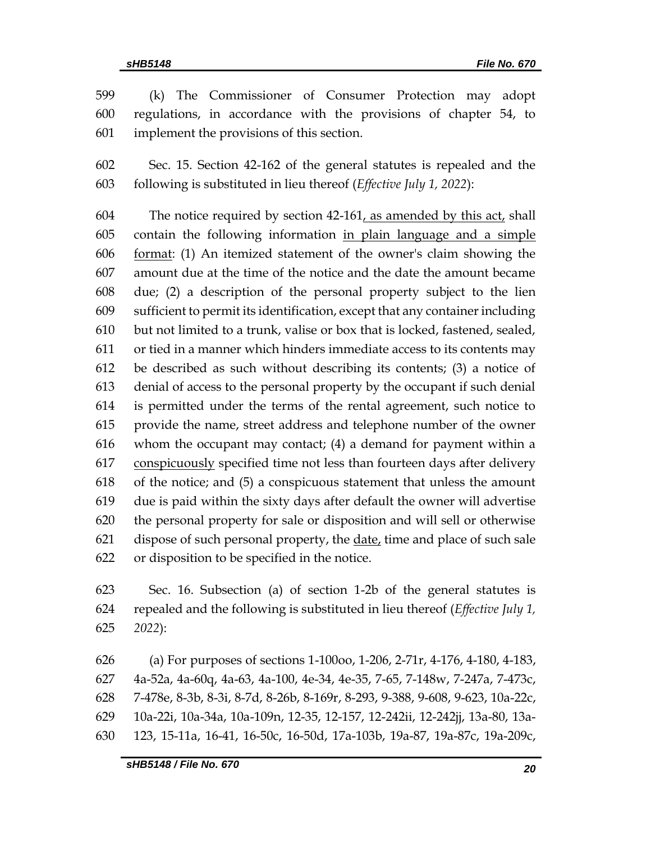(k) The Commissioner of Consumer Protection may adopt regulations, in accordance with the provisions of chapter 54, to implement the provisions of this section.

 Sec. 15. Section 42-162 of the general statutes is repealed and the following is substituted in lieu thereof (*Effective July 1, 2022*):

 The notice required by section 42-161, as amended by this act, shall contain the following information in plain language and a simple format: (1) An itemized statement of the owner's claim showing the amount due at the time of the notice and the date the amount became due; (2) a description of the personal property subject to the lien sufficient to permit its identification, except that any container including but not limited to a trunk, valise or box that is locked, fastened, sealed, or tied in a manner which hinders immediate access to its contents may be described as such without describing its contents; (3) a notice of denial of access to the personal property by the occupant if such denial is permitted under the terms of the rental agreement, such notice to provide the name, street address and telephone number of the owner whom the occupant may contact; (4) a demand for payment within a conspicuously specified time not less than fourteen days after delivery of the notice; and (5) a conspicuous statement that unless the amount due is paid within the sixty days after default the owner will advertise the personal property for sale or disposition and will sell or otherwise 621 dispose of such personal property, the date, time and place of such sale or disposition to be specified in the notice.

 Sec. 16. Subsection (a) of section 1-2b of the general statutes is repealed and the following is substituted in lieu thereof (*Effective July 1, 2022*):

 (a) For purposes of sections 1-100oo, 1-206, 2-71r, 4-176, 4-180, 4-183, 4a-52a, 4a-60q, 4a-63, 4a-100, 4e-34, 4e-35, 7-65, 7-148w, 7-247a, 7-473c, 7-478e, 8-3b, 8-3i, 8-7d, 8-26b, 8-169r, 8-293, 9-388, 9-608, 9-623, 10a-22c, 10a-22i, 10a-34a, 10a-109n, 12-35, 12-157, 12-242ii, 12-242jj, 13a-80, 13a-123, 15-11a, 16-41, 16-50c, 16-50d, 17a-103b, 19a-87, 19a-87c, 19a-209c,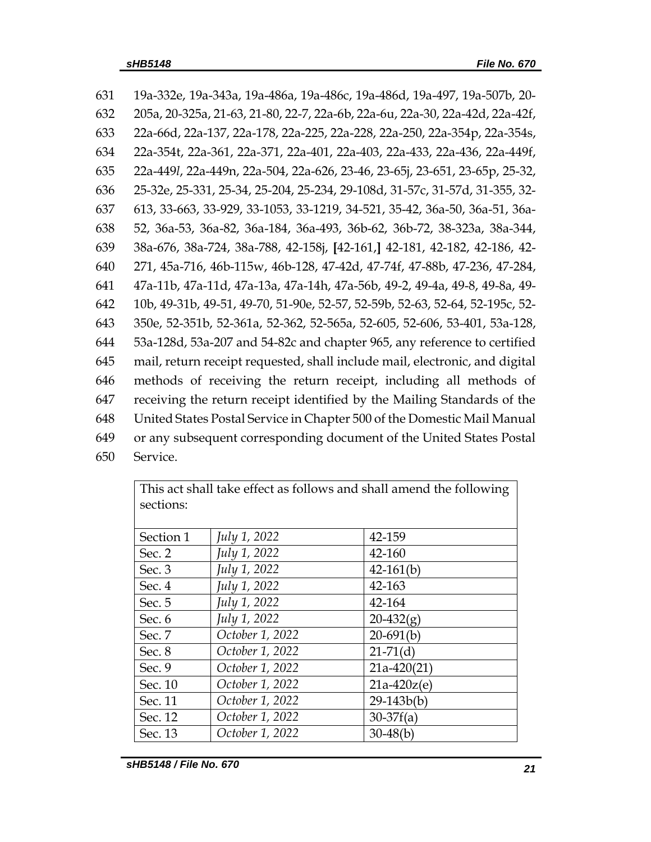19a-332e, 19a-343a, 19a-486a, 19a-486c, 19a-486d, 19a-497, 19a-507b, 20- 205a, 20-325a, 21-63, 21-80, 22-7, 22a-6b, 22a-6u, 22a-30, 22a-42d, 22a-42f, 22a-66d, 22a-137, 22a-178, 22a-225, 22a-228, 22a-250, 22a-354p, 22a-354s, 22a-354t, 22a-361, 22a-371, 22a-401, 22a-403, 22a-433, 22a-436, 22a-449f, 22a-449*l*, 22a-449n, 22a-504, 22a-626, 23-46, 23-65j, 23-651, 23-65p, 25-32, 25-32e, 25-331, 25-34, 25-204, 25-234, 29-108d, 31-57c, 31-57d, 31-355, 32- 613, 33-663, 33-929, 33-1053, 33-1219, 34-521, 35-42, 36a-50, 36a-51, 36a- 52, 36a-53, 36a-82, 36a-184, 36a-493, 36b-62, 36b-72, 38-323a, 38a-344, 38a-676, 38a-724, 38a-788, 42-158j, **[**42-161,**]** 42-181, 42-182, 42-186, 42- 271, 45a-716, 46b-115w, 46b-128, 47-42d, 47-74f, 47-88b, 47-236, 47-284, 47a-11b, 47a-11d, 47a-13a, 47a-14h, 47a-56b, 49-2, 49-4a, 49-8, 49-8a, 49- 10b, 49-31b, 49-51, 49-70, 51-90e, 52-57, 52-59b, 52-63, 52-64, 52-195c, 52- 350e, 52-351b, 52-361a, 52-362, 52-565a, 52-605, 52-606, 53-401, 53a-128, 53a-128d, 53a-207 and 54-82c and chapter 965, any reference to certified mail, return receipt requested, shall include mail, electronic, and digital methods of receiving the return receipt, including all methods of receiving the return receipt identified by the Mailing Standards of the United States Postal Service in Chapter 500 of the Domestic Mail Manual or any subsequent corresponding document of the United States Postal 650 Service.

| This act shall take effect as follows and shall alliend the following |                 |               |  |
|-----------------------------------------------------------------------|-----------------|---------------|--|
| sections:                                                             |                 |               |  |
|                                                                       |                 |               |  |
| Section 1                                                             | July 1, 2022    | 42-159        |  |
| Sec. 2                                                                | July 1, 2022    | 42-160        |  |
| Sec. 3                                                                | July 1, 2022    | $42-161(b)$   |  |
| Sec. 4                                                                | July 1, 2022    | 42-163        |  |
| Sec. 5                                                                | July 1, 2022    | 42-164        |  |
| Sec. 6                                                                | July 1, 2022    | $20-432(g)$   |  |
| Sec. 7                                                                | October 1, 2022 | $20-691(b)$   |  |
| Sec. 8                                                                | October 1, 2022 | $21-71(d)$    |  |
| Sec. 9                                                                | October 1, 2022 | $21a-420(21)$ |  |
| Sec. 10                                                               | October 1, 2022 | $21a-420z(e)$ |  |
| Sec. 11                                                               | October 1, 2022 | $29-143b(b)$  |  |
| Sec. 12                                                               | October 1, 2022 | $30-37f(a)$   |  |
| Sec. 13                                                               | October 1, 2022 | $30-48(b)$    |  |

This act shall take effect as follows and shall amend the following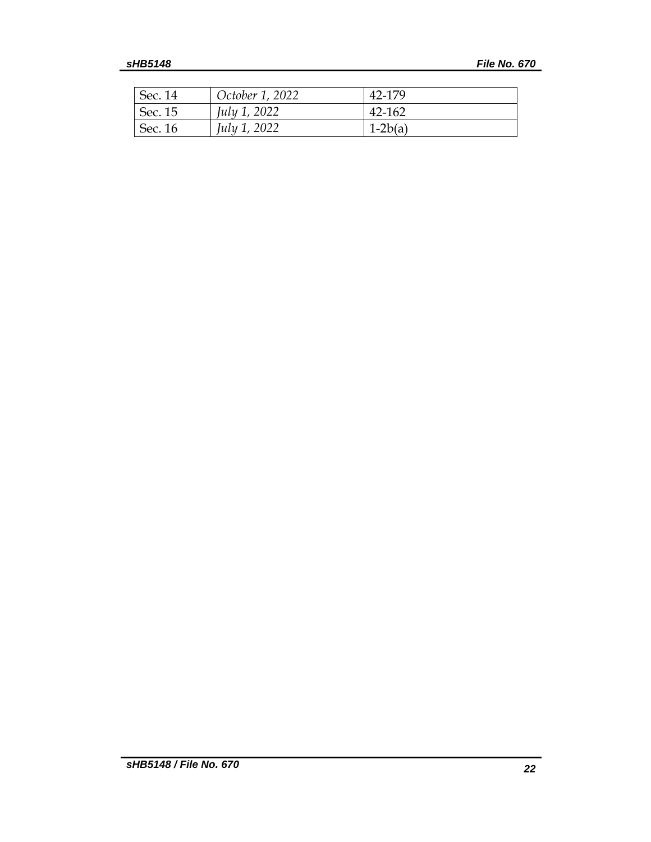| Sec. 14 | October 1, 2022 | 42-179    |
|---------|-----------------|-----------|
| Sec. 15 | July 1, 2022    | 42-162    |
| Sec. 16 | July 1, 2022    | $1-2b(a)$ |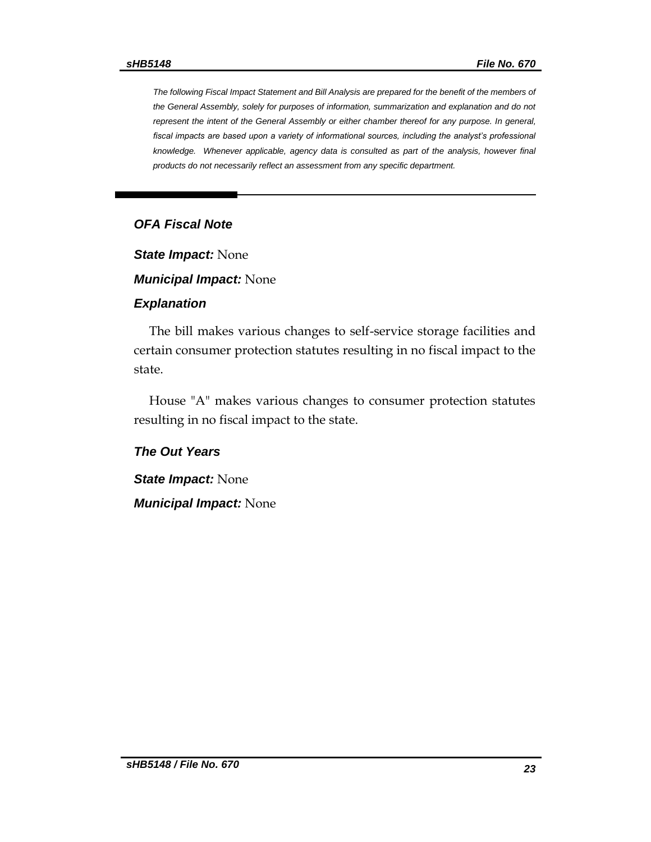*The following Fiscal Impact Statement and Bill Analysis are prepared for the benefit of the members of the General Assembly, solely for purposes of information, summarization and explanation and do not represent the intent of the General Assembly or either chamber thereof for any purpose. In general,*  fiscal impacts are based upon a variety of informational sources, including the analyst's professional *knowledge. Whenever applicable, agency data is consulted as part of the analysis, however final products do not necessarily reflect an assessment from any specific department.*

## *OFA Fiscal Note*

*State Impact:* None

*Municipal Impact:* None

#### *Explanation*

The bill makes various changes to self-service storage facilities and certain consumer protection statutes resulting in no fiscal impact to the state.

House "A" makes various changes to consumer protection statutes resulting in no fiscal impact to the state.

*The Out Years*

*State Impact:* None

*Municipal Impact:* None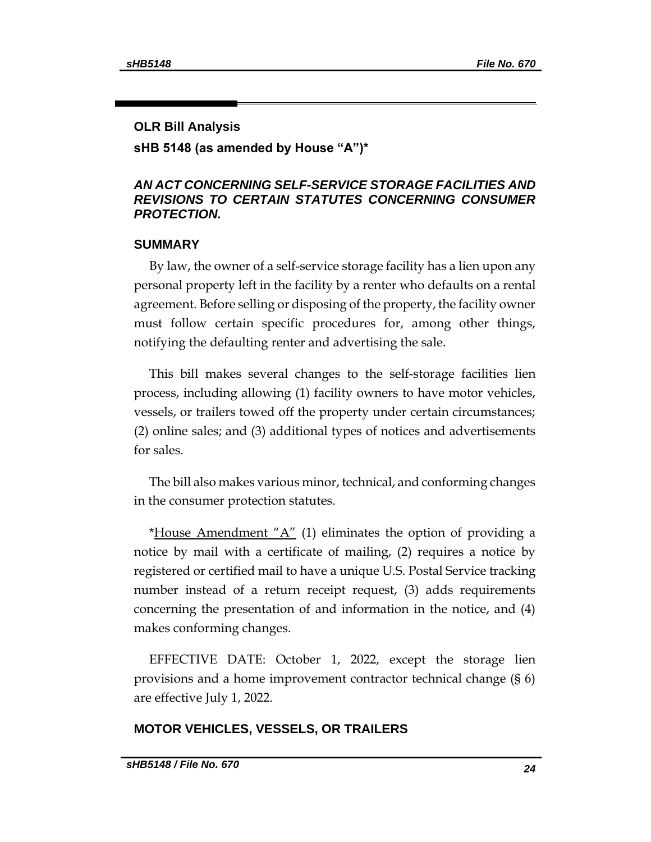#### **OLR Bill Analysis**

**sHB 5148 (as amended by House "A")\***

### *AN ACT CONCERNING SELF-SERVICE STORAGE FACILITIES AND REVISIONS TO CERTAIN STATUTES CONCERNING CONSUMER PROTECTION.*

### **SUMMARY**

By law, the owner of a self-service storage facility has a lien upon any personal property left in the facility by a renter who defaults on a rental agreement. Before selling or disposing of the property, the facility owner must follow certain specific procedures for, among other things, notifying the defaulting renter and advertising the sale.

This bill makes several changes to the self-storage facilities lien process, including allowing (1) facility owners to have motor vehicles, vessels, or trailers towed off the property under certain circumstances; (2) online sales; and (3) additional types of notices and advertisements for sales.

The bill also makes various minor, technical, and conforming changes in the consumer protection statutes.

\*House Amendment " $A$ " (1) eliminates the option of providing a notice by mail with a certificate of mailing, (2) requires a notice by registered or certified mail to have a unique U.S. Postal Service tracking number instead of a return receipt request, (3) adds requirements concerning the presentation of and information in the notice, and (4) makes conforming changes.

EFFECTIVE DATE: October 1, 2022, except the storage lien provisions and a home improvement contractor technical change (§ 6) are effective July 1, 2022.

### **MOTOR VEHICLES, VESSELS, OR TRAILERS**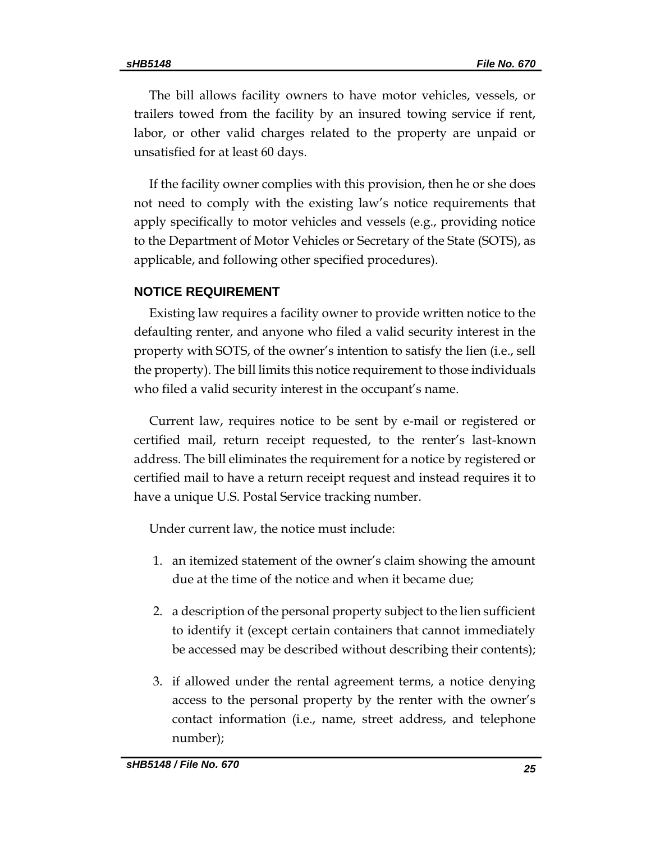The bill allows facility owners to have motor vehicles, vessels, or trailers towed from the facility by an insured towing service if rent, labor, or other valid charges related to the property are unpaid or unsatisfied for at least 60 days.

If the facility owner complies with this provision, then he or she does not need to comply with the existing law's notice requirements that apply specifically to motor vehicles and vessels (e.g., providing notice to the Department of Motor Vehicles or Secretary of the State (SOTS), as applicable, and following other specified procedures).

### **NOTICE REQUIREMENT**

Existing law requires a facility owner to provide written notice to the defaulting renter, and anyone who filed a valid security interest in the property with SOTS, of the owner's intention to satisfy the lien (i.e., sell the property). The bill limits this notice requirement to those individuals who filed a valid security interest in the occupant's name.

Current law, requires notice to be sent by e-mail or registered or certified mail, return receipt requested, to the renter's last-known address. The bill eliminates the requirement for a notice by registered or certified mail to have a return receipt request and instead requires it to have a unique U.S. Postal Service tracking number.

Under current law, the notice must include:

- 1. an itemized statement of the owner's claim showing the amount due at the time of the notice and when it became due;
- 2. a description of the personal property subject to the lien sufficient to identify it (except certain containers that cannot immediately be accessed may be described without describing their contents);
- 3. if allowed under the rental agreement terms, a notice denying access to the personal property by the renter with the owner's contact information (i.e., name, street address, and telephone number);